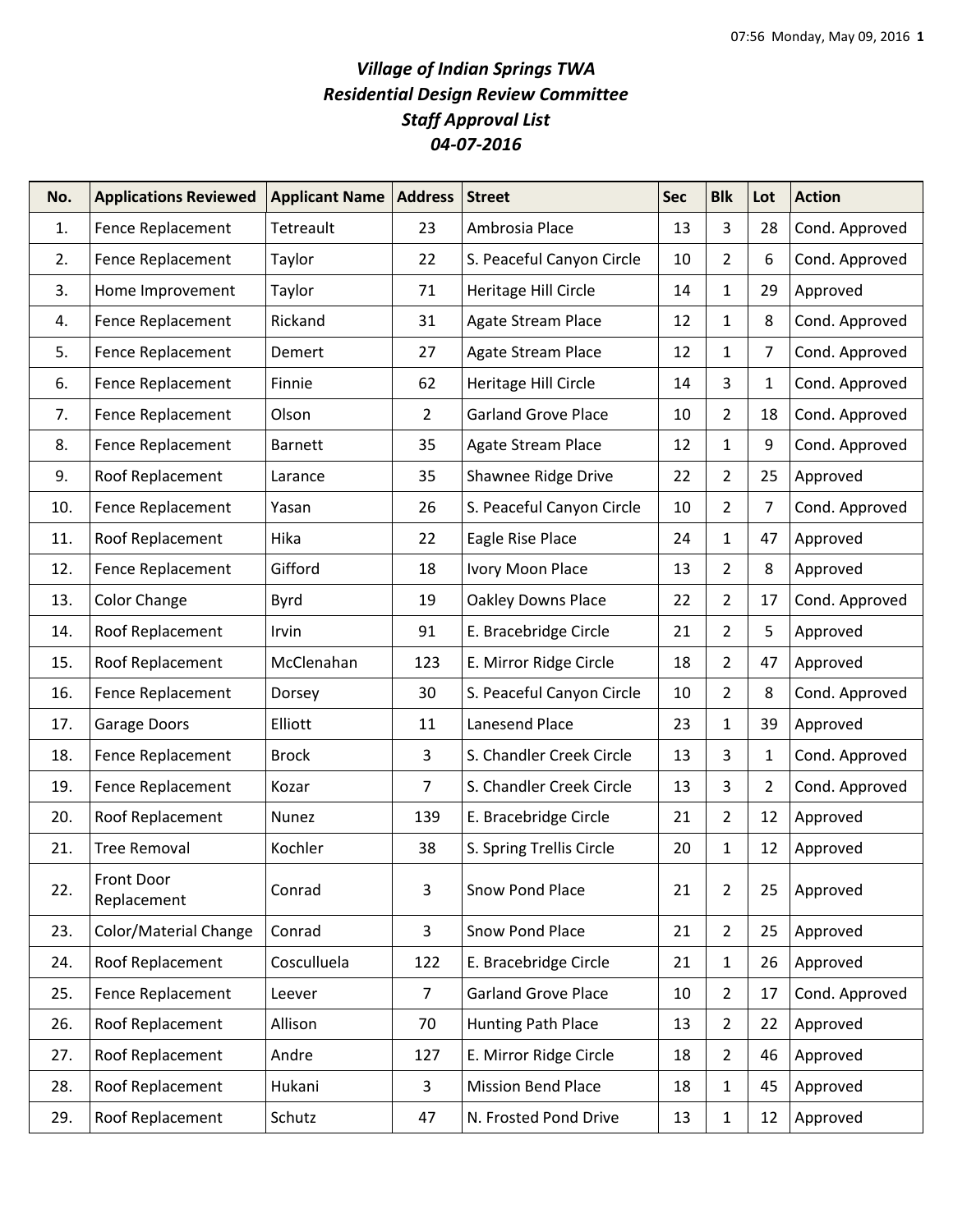## *Village of Indian Springs TWA Residential Design Review Committee Staff Approval List 04-07-2016*

| No. | <b>Applications Reviewed</b> | <b>Applicant Name</b> | <b>Address</b> | <b>Street</b>              | <b>Sec</b> | <b>Blk</b>     | Lot            | <b>Action</b>  |
|-----|------------------------------|-----------------------|----------------|----------------------------|------------|----------------|----------------|----------------|
| 1.  | Fence Replacement            | Tetreault             | 23             | Ambrosia Place             | 13         | 3              | 28             | Cond. Approved |
| 2.  | Fence Replacement            | Taylor                | 22             | S. Peaceful Canyon Circle  | 10         | $2^{\circ}$    | 6              | Cond. Approved |
| 3.  | Home Improvement             | Taylor                | 71             | Heritage Hill Circle       | 14         | $\mathbf{1}$   | 29             | Approved       |
| 4.  | Fence Replacement            | Rickand               | 31             | Agate Stream Place         | 12         | 1              | 8              | Cond. Approved |
| 5.  | Fence Replacement            | Demert                | 27             | <b>Agate Stream Place</b>  | 12         | $\mathbf 1$    | $\overline{7}$ | Cond. Approved |
| 6.  | Fence Replacement            | Finnie                | 62             | Heritage Hill Circle       | 14         | 3              | $\mathbf 1$    | Cond. Approved |
| 7.  | Fence Replacement            | Olson                 | $\overline{2}$ | <b>Garland Grove Place</b> | 10         | $2^{\circ}$    | 18             | Cond. Approved |
| 8.  | Fence Replacement            | <b>Barnett</b>        | 35             | Agate Stream Place         | 12         | $\mathbf{1}$   | 9              | Cond. Approved |
| 9.  | Roof Replacement             | Larance               | 35             | Shawnee Ridge Drive        | 22         | $\overline{2}$ | 25             | Approved       |
| 10. | Fence Replacement            | Yasan                 | 26             | S. Peaceful Canyon Circle  | 10         | $\overline{2}$ | $\overline{7}$ | Cond. Approved |
| 11. | Roof Replacement             | Hika                  | 22             | Eagle Rise Place           | 24         | $\mathbf 1$    | 47             | Approved       |
| 12. | Fence Replacement            | Gifford               | 18             | Ivory Moon Place           | 13         | $\overline{2}$ | 8              | Approved       |
| 13. | Color Change                 | <b>Byrd</b>           | 19             | Oakley Downs Place         | 22         | $\overline{2}$ | 17             | Cond. Approved |
| 14. | Roof Replacement             | Irvin                 | 91             | E. Bracebridge Circle      | 21         | $\overline{2}$ | 5              | Approved       |
| 15. | Roof Replacement             | McClenahan            | 123            | E. Mirror Ridge Circle     | 18         | $\overline{2}$ | 47             | Approved       |
| 16. | Fence Replacement            | Dorsey                | 30             | S. Peaceful Canyon Circle  | 10         | $\overline{2}$ | 8              | Cond. Approved |
| 17. | Garage Doors                 | Elliott               | 11             | Lanesend Place             | 23         | $\mathbf{1}$   | 39             | Approved       |
| 18. | Fence Replacement            | <b>Brock</b>          | 3              | S. Chandler Creek Circle   | 13         | 3              | 1              | Cond. Approved |
| 19. | Fence Replacement            | Kozar                 | $\overline{7}$ | S. Chandler Creek Circle   | 13         | 3              | $\overline{2}$ | Cond. Approved |
| 20. | Roof Replacement             | Nunez                 | 139            | E. Bracebridge Circle      | 21         | $2^{\circ}$    | 12             | Approved       |
| 21. | <b>Tree Removal</b>          | Kochler               | 38             | S. Spring Trellis Circle   | 20         | 1              | 12             | Approved       |
| 22. | Front Door<br>Replacement    | Conrad                | 3              | Snow Pond Place            | 21         | $\overline{2}$ | 25             | Approved       |
| 23. | Color/Material Change        | Conrad                | 3              | Snow Pond Place            | 21         | $2^{\circ}$    | 25             | Approved       |
| 24. | Roof Replacement             | Cosculluela           | 122            | E. Bracebridge Circle      | 21         | $\mathbf{1}$   | 26             | Approved       |
| 25. | Fence Replacement            | Leever                | $\overline{7}$ | <b>Garland Grove Place</b> | 10         | $\overline{2}$ | 17             | Cond. Approved |
| 26. | Roof Replacement             | Allison               | 70             | Hunting Path Place         | 13         | $\overline{2}$ | 22             | Approved       |
| 27. | Roof Replacement             | Andre                 | 127            | E. Mirror Ridge Circle     | 18         | $\overline{2}$ | 46             | Approved       |
| 28. | Roof Replacement             | Hukani                | 3              | <b>Mission Bend Place</b>  | 18         | 1              | 45             | Approved       |
| 29. | Roof Replacement             | Schutz                | 47             | N. Frosted Pond Drive      | 13         | $\mathbf 1$    | 12             | Approved       |